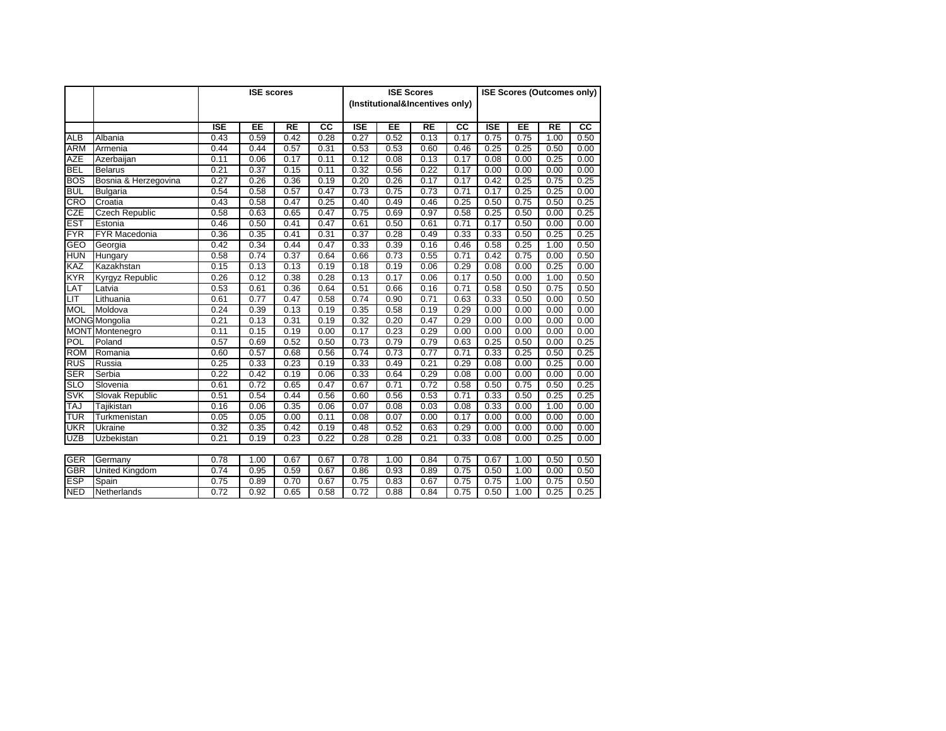|            |                        | <b>ISE</b> scores |      |           |      | <b>ISE Scores</b><br>(Institutional&Incentives only) |      |           | <b>ISE Scores (Outcomes only)</b> |            |      |           |      |
|------------|------------------------|-------------------|------|-----------|------|------------------------------------------------------|------|-----------|-----------------------------------|------------|------|-----------|------|
|            |                        | <b>ISE</b>        | EE   | <b>RE</b> | cc   | <b>ISE</b>                                           | EE   | <b>RE</b> | <b>CC</b>                         | <b>ISE</b> | EE   | <b>RE</b> | CC   |
| <b>ALB</b> | Albania                | 0.43              | 0.59 | 0.42      | 0.28 | 0.27                                                 | 0.52 | 0.13      | 0.17                              | 0.75       | 0.75 | 1.00      | 0.50 |
| <b>ARM</b> | Armenia                | 0.44              | 0.44 | 0.57      | 0.31 | 0.53                                                 | 0.53 | 0.60      | 0.46                              | 0.25       | 0.25 | 0.50      | 0.00 |
| <b>AZE</b> | Azerbaijan             | 0.11              | 0.06 | 0.17      | 0.11 | 0.12                                                 | 0.08 | 0.13      | 0.17                              | 0.08       | 0.00 | 0.25      | 0.00 |
| <b>BEL</b> | <b>Belarus</b>         | 0.21              | 0.37 | 0.15      | 0.11 | 0.32                                                 | 0.56 | 0.22      | 0.17                              | 0.00       | 0.00 | 0.00      | 0.00 |
| <b>BOS</b> | Bosnia & Herzegovina   | 0.27              | 0.26 | 0.36      | 0.19 | 0.20                                                 | 0.26 | 0.17      | 0.17                              | 0.42       | 0.25 | 0.75      | 0.25 |
| <b>BUL</b> | Bulgaria               | 0.54              | 0.58 | 0.57      | 0.47 | 0.73                                                 | 0.75 | 0.73      | 0.71                              | 0.17       | 0.25 | 0.25      | 0.00 |
| <b>CRO</b> | Croatia                | 0.43              | 0.58 | 0.47      | 0.25 | 0.40                                                 | 0.49 | 0.46      | 0.25                              | 0.50       | 0.75 | 0.50      | 0.25 |
| <b>CZE</b> | <b>Czech Republic</b>  | 0.58              | 0.63 | 0.65      | 0.47 | 0.75                                                 | 0.69 | 0.97      | 0.58                              | 0.25       | 0.50 | 0.00      | 0.25 |
| <b>EST</b> | Estonia                | 0.46              | 0.50 | 0.41      | 0.47 | 0.61                                                 | 0.50 | 0.61      | 0.71                              | 0.17       | 0.50 | 0.00      | 0.00 |
| <b>FYR</b> | <b>FYR Macedonia</b>   | 0.36              | 0.35 | 0.41      | 0.31 | 0.37                                                 | 0.28 | 0.49      | 0.33                              | 0.33       | 0.50 | 0.25      | 0.25 |
| GEO        | Georgia                | 0.42              | 0.34 | 0.44      | 0.47 | 0.33                                                 | 0.39 | 0.16      | 0.46                              | 0.58       | 0.25 | 1.00      | 0.50 |
| <b>HUN</b> | Hungary                | 0.58              | 0.74 | 0.37      | 0.64 | 0.66                                                 | 0.73 | 0.55      | 0.71                              | 0.42       | 0.75 | 0.00      | 0.50 |
| KAZ        | Kazakhstan             | 0.15              | 0.13 | 0.13      | 0.19 | 0.18                                                 | 0.19 | 0.06      | 0.29                              | 0.08       | 0.00 | 0.25      | 0.00 |
| KYR        | Kyrgyz Republic        | 0.26              | 0.12 | 0.38      | 0.28 | 0.13                                                 | 0.17 | 0.06      | 0.17                              | 0.50       | 0.00 | 1.00      | 0.50 |
| LAT        | Latvia                 | 0.53              | 0.61 | 0.36      | 0.64 | 0.51                                                 | 0.66 | 0.16      | 0.71                              | 0.58       | 0.50 | 0.75      | 0.50 |
| LIT        | Lithuania              | 0.61              | 0.77 | 0.47      | 0.58 | 0.74                                                 | 0.90 | 0.71      | 0.63                              | 0.33       | 0.50 | 0.00      | 0.50 |
| <b>MOL</b> | Moldova                | 0.24              | 0.39 | 0.13      | 0.19 | 0.35                                                 | 0.58 | 0.19      | 0.29                              | 0.00       | 0.00 | 0.00      | 0.00 |
|            | <b>MONG</b> Mongolia   | 0.21              | 0.13 | 0.31      | 0.19 | 0.32                                                 | 0.20 | 0.47      | 0.29                              | 0.00       | 0.00 | 0.00      | 0.00 |
|            | <b>MONT</b> Montenegro | 0.11              | 0.15 | 0.19      | 0.00 | 0.17                                                 | 0.23 | 0.29      | 0.00                              | 0.00       | 0.00 | 0.00      | 0.00 |
| POL        | Poland                 | 0.57              | 0.69 | 0.52      | 0.50 | 0.73                                                 | 0.79 | 0.79      | 0.63                              | 0.25       | 0.50 | 0.00      | 0.25 |
| <b>ROM</b> | Romania                | 0.60              | 0.57 | 0.68      | 0.56 | 0.74                                                 | 0.73 | 0.77      | 0.71                              | 0.33       | 0.25 | 0.50      | 0.25 |
| <b>RUS</b> | Russia                 | 0.25              | 0.33 | 0.23      | 0.19 | 0.33                                                 | 0.49 | 0.21      | 0.29                              | 0.08       | 0.00 | 0.25      | 0.00 |
| <b>SER</b> | Serbia                 | 0.22              | 0.42 | 0.19      | 0.06 | 0.33                                                 | 0.64 | 0.29      | 0.08                              | 0.00       | 0.00 | 0.00      | 0.00 |
| <b>SLO</b> | Slovenia               | 0.61              | 0.72 | 0.65      | 0.47 | 0.67                                                 | 0.71 | 0.72      | 0.58                              | 0.50       | 0.75 | 0.50      | 0.25 |
| <b>SVK</b> | Slovak Republic        | 0.51              | 0.54 | 0.44      | 0.56 | 0.60                                                 | 0.56 | 0.53      | 0.71                              | 0.33       | 0.50 | 0.25      | 0.25 |
| <b>TAJ</b> | Tajikistan             | 0.16              | 0.06 | 0.35      | 0.06 | 0.07                                                 | 0.08 | 0.03      | 0.08                              | 0.33       | 0.00 | 1.00      | 0.00 |
| TUR        | Turkmenistan           | 0.05              | 0.05 | 0.00      | 0.11 | 0.08                                                 | 0.07 | 0.00      | 0.17                              | 0.00       | 0.00 | 0.00      | 0.00 |
| <b>UKR</b> | Ukraine                | 0.32              | 0.35 | 0.42      | 0.19 | 0.48                                                 | 0.52 | 0.63      | 0.29                              | 0.00       | 0.00 | 0.00      | 0.00 |
| <b>UZB</b> | Uzbekistan             | 0.21              | 0.19 | 0.23      | 0.22 | 0.28                                                 | 0.28 | 0.21      | 0.33                              | 0.08       | 0.00 | 0.25      | 0.00 |
|            |                        |                   |      |           |      |                                                      |      |           |                                   |            |      |           |      |
| <b>GER</b> | Germany                | 0.78              | 1.00 | 0.67      | 0.67 | 0.78                                                 | 1.00 | 0.84      | 0.75                              | 0.67       | 1.00 | 0.50      | 0.50 |
| <b>GBR</b> | United Kingdom         | 0.74              | 0.95 | 0.59      | 0.67 | 0.86                                                 | 0.93 | 0.89      | 0.75                              | 0.50       | 1.00 | 0.00      | 0.50 |
| ESP        | Spain                  | 0.75              | 0.89 | 0.70      | 0.67 | 0.75                                                 | 0.83 | 0.67      | 0.75                              | 0.75       | 1.00 | 0.75      | 0.50 |
| <b>NED</b> | Netherlands            | 0.72              | 0.92 | 0.65      | 0.58 | 0.72                                                 | 0.88 | 0.84      | 0.75                              | 0.50       | 1.00 | 0.25      | 0.25 |